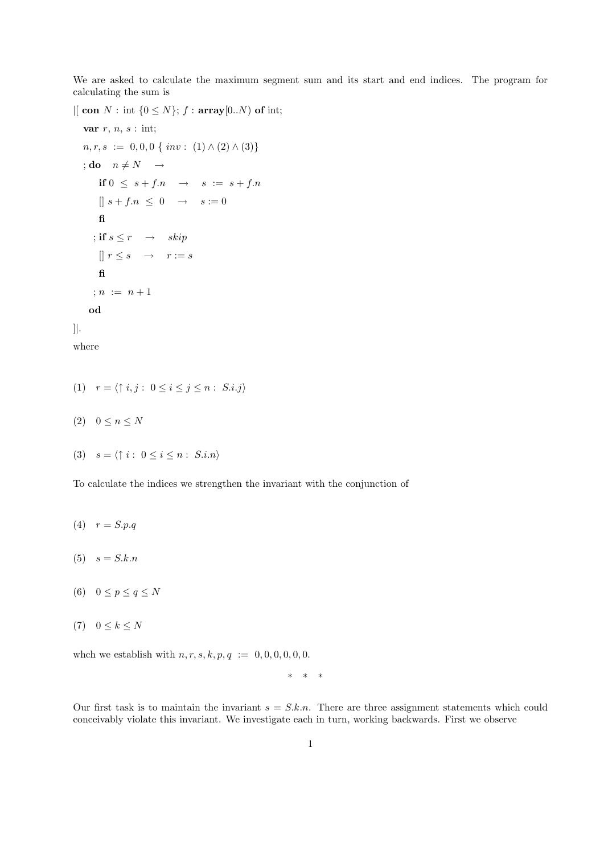We are asked to calculate the maximum segment sum and its start and end indices. The program for calculating the sum is

 $\left| \right|$  con  $N$ : int  $\{0 \leq N\}$ ;  $f$ : array $[0..N)$  of int; var  $r, n, s : \text{int};$  $n, r, s := 0, 0, 0 \{ inv : (1) \wedge (2) \wedge (3) \}$ ; do  $n \neq N \rightarrow$ if  $0 \leq s + f.n \rightarrow s := s + f.n$  $\left[\right] s + f.n \leq 0 \rightarrow s := 0$ fi ; if  $s \leq r \rightarrow skip$  $\left[\right]$   $r \leq s \quad \rightarrow \quad r := s$ fi ;  $n := n + 1$ od ]|. where

- (1)  $r = \langle \uparrow i, j : 0 \leq i \leq j \leq n : S.i.j \rangle$
- (2)  $0 \le n \le N$

$$
(3) \quad s = \langle \uparrow i : 0 \le i \le n : S.i.n \rangle
$$

To calculate the indices we strengthen the invariant with the conjunction of

- (4)  $r = S.p.q$
- $(5) \quad s = S.k.n$
- (6)  $0 \leq p \leq q \leq N$
- $(7)$   $0 \leq k \leq N$

whch we establish with  $n, r, s, k, p, q := 0, 0, 0, 0, 0, 0$ .

\* \* \*

Our first task is to maintain the invariant  $s = S.k.n$ . There are three assignment statements which could conceivably violate this invariant. We investigate each in turn, working backwards. First we observe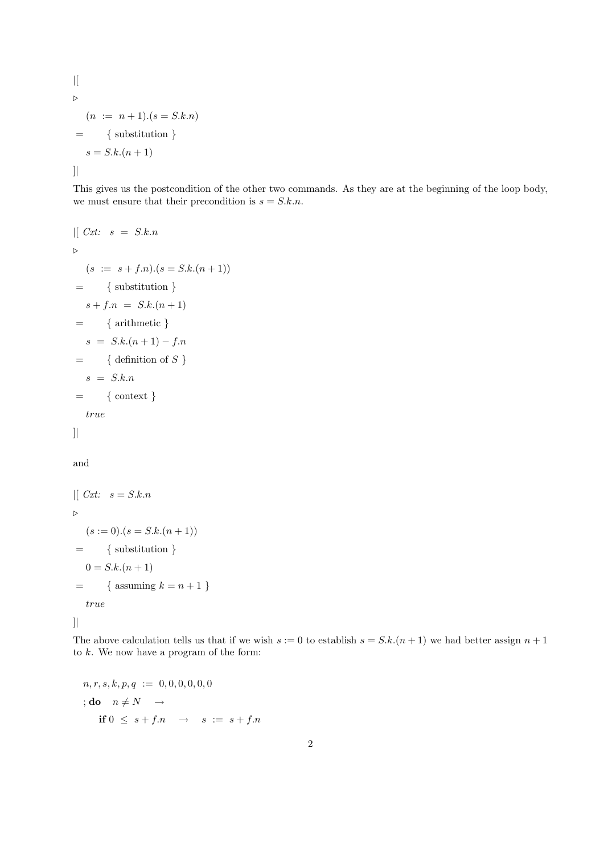```
\mid [
\triangleright(n := n + 1).(s = S.k.n)= { substitution }
   s = S.k.(n + 1)]|
```
This gives us the postcondition of the other two commands. As they are at the beginning of the loop body, we must ensure that their precondition is  $s = S.k.n$ .

$$
| [ Cxt: s = S.k.n
$$
  
\n
$$
\triangleright
$$
  
\n
$$
(s := s + f.n).(s = S.k.(n + 1))
$$
  
\n
$$
= \{ \text{substitution } \}
$$
  
\n
$$
s + f.n = S.k.(n + 1)
$$
  
\n
$$
= \{ \text{arithmetic } \}
$$
  
\n
$$
s = S.k.(n + 1) - f.n
$$
  
\n
$$
= \{ \text{definition of } S \}
$$
  
\n
$$
s = S.k.n
$$
  
\n
$$
= \{ \text{context } \}
$$
  
\n
$$
true
$$
  
\n|

## and

```
[[ Cxt: s = S.k.n\triangleright(s := 0) \cdot (s = S \cdot k \cdot (n + 1))= { substitution }
   0 = S.k.(n + 1)= { assuming k = n + 1 }
   true
```
]|

The above calculation tells us that if we wish  $s = 0$  to establish  $s = S.k.(n + 1)$  we had better assign  $n + 1$ to  $k$ . We now have a program of the form:

$$
n, r, s, k, p, q := 0, 0, 0, 0, 0, 0
$$
  

$$
;\mathbf{do} \quad n \neq N \quad \rightarrow
$$
  

$$
\mathbf{if} \quad 0 \leq s + f \quad n \quad \rightarrow \quad s := s + f \quad n
$$